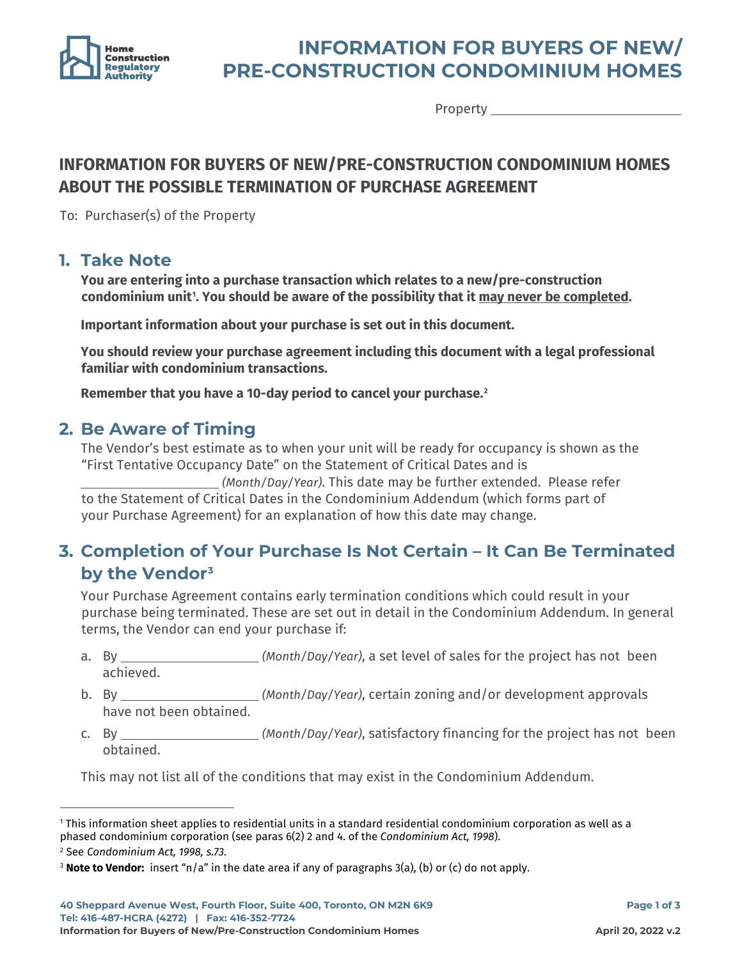

# **INFORMATION FOR BUYERS OF NEW/ PRE-CONSTRUCTION CONDOMINIUM HOMES**

Property \_

### **INFORMATION FOR BUYERS OF NEW/PRE-CONSTRUCTION CONDOMINIUM HOMES ABOUT THE POSSIBLE TERMINATION OF PURCHASE AGREEMENT**

To: Purchaser(s) of the Property

#### **1. Take Note**

**You are entering into a purchase transaction which relates to a new/pre-construction condominium unit[1](#page-0-0) . You should be aware of the possibility that it may never be completed.**

**Important information about your purchase is set out in this document.**

**You should review your purchase agreement including this document with a legal professional familiar with condominium transactions.**

**Remember that you have a 10-day period to cancel your purchase.[2](#page-0-1)**

#### **2. Be Aware of Timing**

The Vendor's best estimate as to when your unit will be ready for occupancy is shown as the "First Tentative Occupancy Date" on the Statement of Critical Dates and is

 *(Month/Day/Year)*. This date may be further extended. Please refer to the Statement of Critical Dates in the Condominium Addendum (which forms part of your Purchase Agreement) for an explanation of how this date may change.

### **3. Completion of Your Purchase Is Not Certain – It Can Be Terminated by the Vendor[3](#page-0-2)**

Your Purchase Agreement contains early termination conditions which could result in your purchase being terminated. These are set out in detail in the Condominium Addendum. In general terms, the Vendor can end your purchase if:

- a. By *(Month/Day/Year)*, a set level of sales for the project has not been achieved.
- b. By *(Month/Day/Year)*, certain zoning and/or development approvals have not been obtained.
- c. By *(Month/Day/Year)*, satisfactory financing for the project has not been obtained.

This may not list all of the conditions that may exist in the Condominium Addendum.

<span id="page-0-0"></span><sup>&</sup>lt;sup>1</sup> This information sheet applies to residential units in a standard residential condominium corporation as well as a phased condominium corporation (see paras 6(2) 2 and 4. of the *Condominium Act, 1998*). <sup>2</sup> See *Condominium Act, 1998, s.73.*

<span id="page-0-2"></span><span id="page-0-1"></span><sup>3</sup> **Note to Vendor:** insert "n/a" in the date area if any of paragraphs 3(a), (b) or (c) do not apply.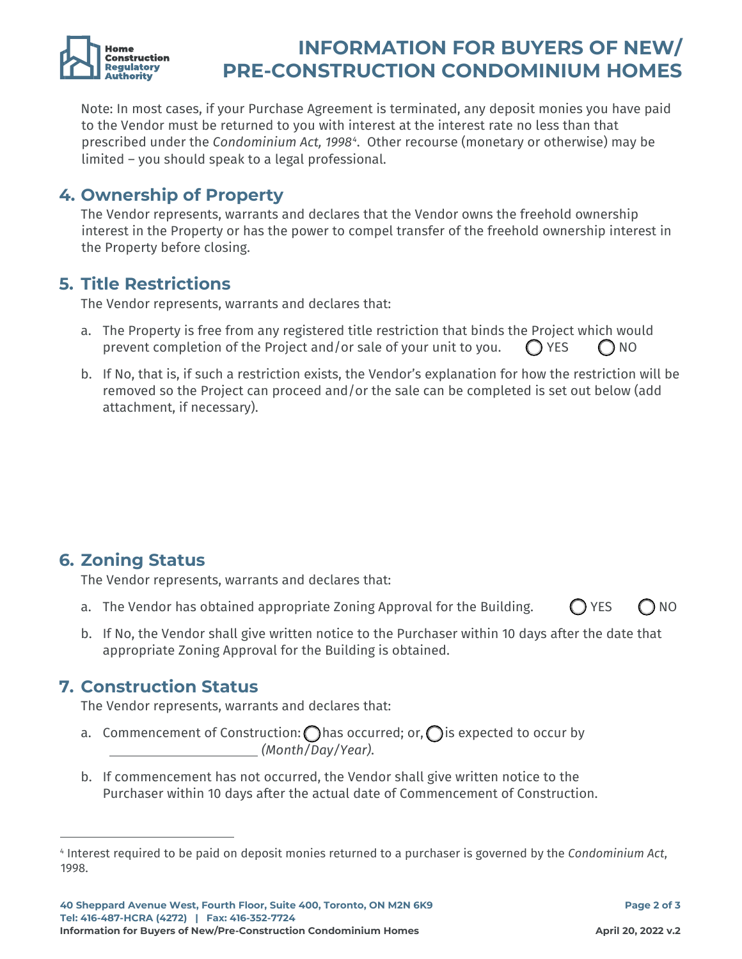

# **INFORMATION FOR BUYERS OF NEW/ PRE-CONSTRUCTION CONDOMINIUM HOMES**

Note: In most cases, if your Purchase Agreement is terminated, any deposit monies you have paid to the Vendor must be returned to you with interest at the interest rate no less than that prescribed under the *Condominium Act, 1998[4](#page-1-0)* . Other recourse (monetary or otherwise) may be limited – you should speak to a legal professional.

### **4. Ownership of Property**

The Vendor represents, warrants and declares that the Vendor owns the freehold ownership interest in the Property or has the power to compel transfer of the freehold ownership interest in the Property before closing.

#### **5. Title Restrictions**

The Vendor represents, warrants and declares that:

- a. The Property is free from any registered title restriction that binds the Project which would prevent completion of the Project and/or sale of your unit to you.  $\bigcap$  YES  $\bigcap$  NO
- b. If No, that is, if such a restriction exists, the Vendor's explanation for how the restriction will be removed so the Project can proceed and/or the sale can be completed is set out below (add attachment, if necessary).

**6. Zoning Status**

The Vendor represents, warrants and declares that:

- a. The Vendor has obtained appropriate Zoning Approval for the Building.  $\bigcirc$  YES  $\bigcirc$  NO
- b. If No, the Vendor shall give written notice to the Purchaser within 10 days after the date that appropriate Zoning Approval for the Building is obtained.

#### **7. Construction Status**

The Vendor represents, warrants and declares that:

- a. Commencement of Construction:  $\bigcirc$  has occurred; or,  $\bigcirc$  is expected to occur by \_ *(Month/Day/Year)*.
- b. If commencement has not occurred, the Vendor shall give written notice to the Purchaser within 10 days after the actual date of Commencement of Construction.

<span id="page-1-0"></span><sup>4</sup> Interest required to be paid on deposit monies returned to a purchaser is governed by the *Condominium Act*, 1998.